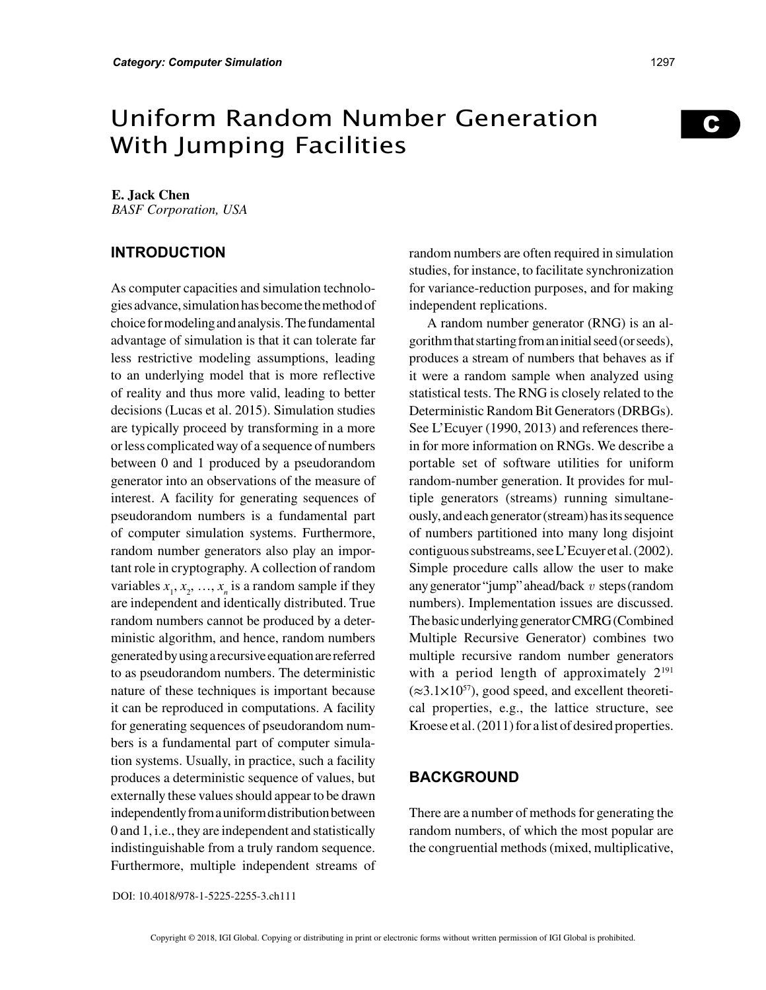# Uniform Random Number Generation With Jumping Facilities

## **E. Jack Chen**

*BASF Corporation, USA*

# **INTRODUCTION**

As computer capacities and simulation technologies advance, simulation has become the method of choice for modeling and analysis. The fundamental advantage of simulation is that it can tolerate far less restrictive modeling assumptions, leading to an underlying model that is more reflective of reality and thus more valid, leading to better decisions (Lucas et al. 2015). Simulation studies are typically proceed by transforming in a more or less complicated way of a sequence of numbers between 0 and 1 produced by a pseudorandom generator into an observations of the measure of interest. A facility for generating sequences of pseudorandom numbers is a fundamental part of computer simulation systems. Furthermore, random number generators also play an important role in cryptography. A collection of random variables  $x_1, x_2, ..., x_n$  is a random sample if they are independent and identically distributed. True random numbers cannot be produced by a deterministic algorithm, and hence, random numbers generated by using a recursive equation are referred to as pseudorandom numbers. The deterministic nature of these techniques is important because it can be reproduced in computations. A facility for generating sequences of pseudorandom numbers is a fundamental part of computer simulation systems. Usually, in practice, such a facility produces a deterministic sequence of values, but externally these values should appear to be drawn independently from a uniform distribution between 0 and 1, i.e., they are independent and statistically indistinguishable from a truly random sequence. Furthermore, multiple independent streams of random numbers are often required in simulation studies, for instance, to facilitate synchronization for variance-reduction purposes, and for making independent replications.

A random number generator (RNG) is an algorithm that starting from an initial seed (or seeds), produces a stream of numbers that behaves as if it were a random sample when analyzed using statistical tests. The RNG is closely related to the Deterministic Random Bit Generators (DRBGs). See L'Ecuyer (1990, 2013) and references therein for more information on RNGs. We describe a portable set of software utilities for uniform random-number generation. It provides for multiple generators (streams) running simultaneously, and each generator (stream) has its sequence of numbers partitioned into many long disjoint contiguous substreams, see L'Ecuyer et al. (2002). Simple procedure calls allow the user to make any generator "jump" ahead/back *v* steps (random numbers). Implementation issues are discussed. The basic underlying generator CMRG (Combined Multiple Recursive Generator) combines two multiple recursive random number generators with a period length of approximately  $2^{191}$  $(\approx 3.1 \times 10^{57})$ , good speed, and excellent theoretical properties, e.g., the lattice structure, see Kroese et al. (2011) for a list of desired properties.

# **BACKGROUND**

There are a number of methods for generating the random numbers, of which the most popular are the congruential methods (mixed, multiplicative, C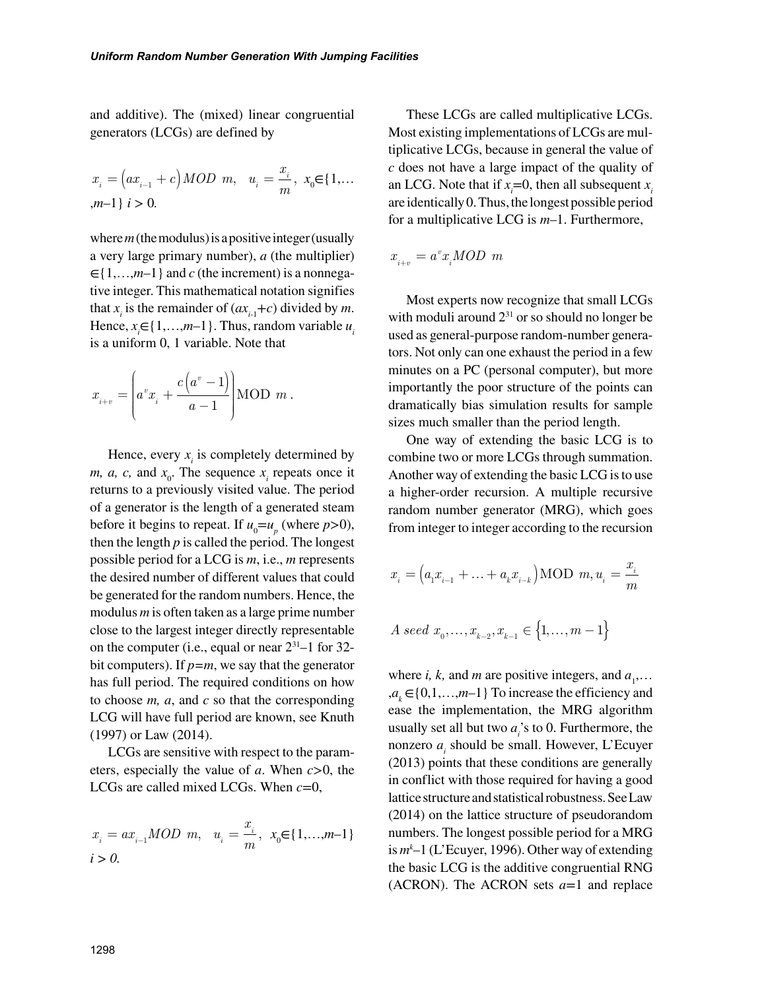and additive). The (mixed) linear congruential generators (LCGs) are defined by

$$
x_i = (ax_{i-1} + c) \text{ MOD } m, \quad u_i = \frac{x_i}{m}, \ x_0 \in \{1, \dots, m-1\} \ i > 0.
$$

where *m* (the modulus) is a positive integer (usually a very large primary number), *a* (the multiplier) ∈{1,…,*m*–1} and *c* (the increment) is a nonnegative integer. This mathematical notation signifies that  $x_i$  is the remainder of  $(ax_{i-1}+c)$  divided by *m*. Hence,  $x_i \in \{1, \ldots, m-1\}$ . Thus, random variable  $u_i$ is a uniform 0, 1 variable. Note that

$$
x_{i+v} = \left( a^v x_i + \frac{c(a^v - 1)}{a - 1} \right) \text{MOD } m.
$$

Hence, every  $x_i$  is completely determined by *m, a, c,* and  $x_0$ . The sequence  $x_i$  repeats once it returns to a previously visited value. The period of a generator is the length of a generated steam before it begins to repeat. If  $u_0 = u_p$  (where  $p > 0$ ), then the length *p* is called the period. The longest possible period for a LCG is *m*, i.e., *m* represents the desired number of different values that could be generated for the random numbers. Hence, the modulus *m* is often taken as a large prime number close to the largest integer directly representable on the computer (i.e., equal or near  $2^{31}$ –1 for 32bit computers). If  $p=m$ , we say that the generator has full period. The required conditions on how to choose *m, a*, and *c* so that the corresponding LCG will have full period are known, see Knuth (1997) or Law (2014).

LCGs are sensitive with respect to the parameters, especially the value of *a*. When *c*>0, the LCGs are called mixed LCGs. When *c*=0,

$$
x_i = ax_{i-1}MOD \ m, \ u_i = \frac{x_i}{m}, \ x_0 \in \{1,...,m-1\}
$$
  
 $i > 0.$ 

These LCGs are called multiplicative LCGs. Most existing implementations of LCGs are multiplicative LCGs, because in general the value of *c* does not have a large impact of the quality of an LCG. Note that if  $x_i=0$ , then all subsequent  $x_i$ are identically 0. Thus, the longest possible period for a multiplicative LCG is *m*–1. Furthermore,

$$
x_{i+v} = a^v x_i MOD \ m
$$

Most experts now recognize that small LCGs with moduli around  $2^{31}$  or so should no longer be used as general-purpose random-number generators. Not only can one exhaust the period in a few minutes on a PC (personal computer), but more importantly the poor structure of the points can dramatically bias simulation results for sample sizes much smaller than the period length.

One way of extending the basic LCG is to combine two or more LCGs through summation. Another way of extending the basic LCG is to use a higher-order recursion. A multiple recursive random number generator (MRG), which goes from integer to integer according to the recursion

$$
x_i = (a_i x_{i-1} + ... + a_k x_{i-k})
$$
MOD  $m, u_i = \frac{x_i}{m}$ 

$$
A \; seed \; x_{0}, \ldots, x_{k-2}, x_{k-1} \in \big\{1, \ldots, m-1\big\}
$$

where *i*, *k*, and *m* are positive integers, and  $a_1$ ...  $, a_k \in \{0, 1, \ldots, m-1\}$  To increase the efficiency and ease the implementation, the MRG algorithm usually set all but two  $a_i$ 's to 0. Furthermore, the nonzero *a<sub>i</sub>* should be small. However, L'Ecuyer (2013) points that these conditions are generally in conflict with those required for having a good lattice structure and statistical robustness. See Law (2014) on the lattice structure of pseudorandom numbers. The longest possible period for a MRG is *mk* –1 (L'Ecuyer, 1996). Other way of extending the basic LCG is the additive congruential RNG (ACRON). The ACRON sets *a*=1 and replace